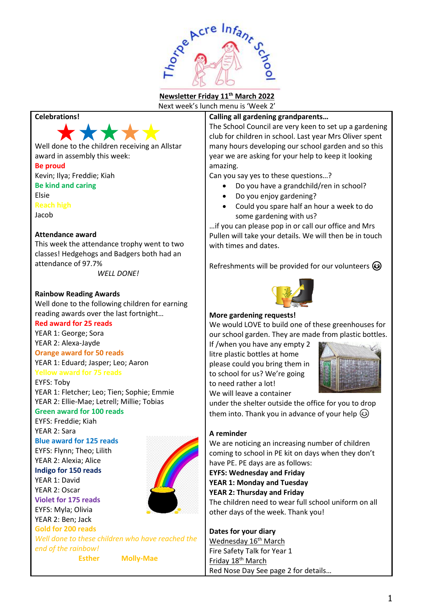

# **Newsletter Friday 11th March 2022**

Next week's lunch menu is 'Week 2'

# **Celebrations!**



Well done to the children receiving an Allstar award in assembly this week:

#### **Be proud**

Kevin; Ilya; Freddie; Kiah **Be kind and caring** Elsie

**Reach high**

Jacob

## **Attendance award**

This week the attendance trophy went to two classes! Hedgehogs and Badgers both had an attendance of 97.7%

*WELL DONE!*

## **Rainbow Reading Awards**

Well done to the following children for earning reading awards over the last fortnight…

## **Red award for 25 reads**

YEAR 1: George; Sora

YEAR 2: Alexa-Jayde

# **Orange award for 50 reads**

YEAR 1: Eduard; Jasper; Leo; Aaron **Yellow award for 75 reads**

## EYFS: Toby

YEAR 1: Fletcher; Leo; Tien; Sophie; Emmie YEAR 2: Ellie-Mae; Letrell; Millie; Tobias

# **Green award for 100 reads**

EYFS: Freddie; Kiah YEAR 2: Sara

## **Blue award for 125 reads**

EYFS: Flynn; Theo; Lilith YEAR 2: Alexia; Alice **Indigo for 150 reads** YEAR 1: David YEAR 2: Oscar

**Violet for 175 reads** EYFS: Myla; Olivia

YEAR 2: Ben; Jack



**Gold for 200 reads** *Well done to these children who have reached the end of the rainbow!*

**Esther Molly-Mae**

# **Calling all gardening grandparents…**

The School Council are very keen to set up a gardening club for children in school. Last year Mrs Oliver spent many hours developing our school garden and so this year we are asking for your help to keep it looking amazing.

Can you say yes to these questions…?

- Do you have a grandchild/ren in school?
- Do you enjoy gardening?
- Could you spare half an hour a week to do some gardening with us?

…if you can please pop in or call our office and Mrs Pullen will take your details. We will then be in touch with times and dates.

Refreshments will be provided for our volunteers  $\odot$ 



## **More gardening requests!**

We would LOVE to build one of these greenhouses for our school garden. They are made from plastic bottles.

If /when you have any empty 2 litre plastic bottles at home please could you bring them in to school for us? We're going to need rather a lot! We will leave a container



under the shelter outside the office for you to drop them into. Thank you in advance of your help  $\circledS$ 

# **A reminder**

We are noticing an increasing number of children coming to school in PE kit on days when they don't have PE. PE days are as follows:

**EYFS: Wednesday and Friday YEAR 1: Monday and Tuesday YEAR 2: Thursday and Friday**

The children need to wear full school uniform on all other days of the week. Thank you!

## **Dates for your diary** Wednesday 16<sup>th</sup> March

Fire Safety Talk for Year 1 Friday 18<sup>th</sup> March Red Nose Day See page 2 for details…